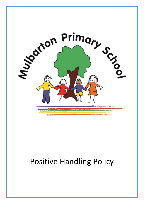

# Positive Handling Policy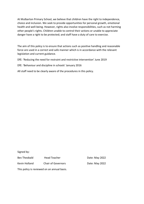At Mulbarton Primary School, we believe that children have the right to independence, choice and inclusion. We seek to provide opportunities for personal growth, emotional health and well-being. However, rights also involve responsibilities, such as not harming other people's rights. Children unable to control their actions or unable to appreciate danger have a right to be protected; and staff have a duty of care to exercise.

The aim of this policy is to ensure that actions such as positive handling and reasonable force are used in a correct and safe manner which is in accordance with the relevant legislation and current guidance.

DfE: 'Reducing the need for restraint and restrictive intervention' June 2019

DfE: 'Behaviour and discipline in schools' January 2016

All staff need to be clearly aware of the procedures in this policy.

Signed by:

Bev Theobald Head Teacher **Easing Contract Pate: May 2022** Kevin Holland Chair of Governors Date: May 2022

This policy is reviewed on an annual basis.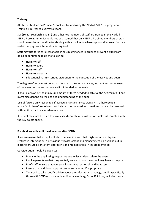## **Training:**

All staff at Mulbarton Primary School are trained using the Norfolk STEP ON programme. Training is refreshed every two years.

SLT (Senior Leadership Team) and other key members of staff are trained in the Norfolk STEP UP programme. It should not be assumed that only STEP UP trained members of staff should solely be responsible for dealing with all incidents where a physical intervention or a restrictive physical intervention is required.

Staff may use force as is reasonable in all circumstances in order to prevent a pupil from doing or continuing to do the following:

- Harm to self
- Harm to peers
- Harm to staff
- Harm to property
- Educational harm serious disruption to the education of themselves and peers

The degree of force must be proportionate to the circumstances, incident and seriousness of the event (or the consequences it is intended to prevent).

It should always be the minimum amount of force needed to achieve the desired result and might also depend on the age and understanding of the pupil.

Use of force is only reasonable if particular circumstances warrant it, otherwise it is unlawful; it therefore follows that it should not be used for situations that can be resolved without it or for trivial misdemeanours.

Restraint must not be used to make a child comply with instructions unless it complies with the key points above.

## **For children with additional needs and/or SEND:**

If we are aware that a pupil is likely to behave in a way that might require a physical or restrictive intervention, a behaviour risk assessment and management plan will be put in place to ensure a consistent approach is maintained and all risks are identified.

Consideration should be given to:

- Manage the pupil using responsive strategies to de-escalate the event
- Involve parents so that they are fully aware of how the school may have to respond
- Brief staff- ensure that everyone knows what action should be taken
- Ensure that additional support can be summoned if appropriate
- The need to take specific advice about the safest way to manage pupils, specifically those with SEND or those with additional needs eg: School2School, Inclusion team.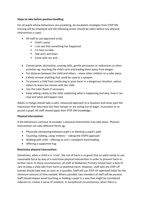### **Steps to take before positive handling:**

For all pupils whose behaviours are escalating, de-escalation strategies from STEP ON training will be employed and the following action should be taken before any physical intervention is used:

- All staff to use approved script:
	- Child's name
	- I can see that something has happened
	- I'm here to help
	- Talk and I will listen
	- Come with me and...
- Conversation, distraction, coaxing skills, gentle persuasion or redirection to other activities eg: touching the child's arm and leading them away from danger
- Put distance between the child and others move other children to a safer place
- Calmly remove anything that could be used as a weapon
- To prevent a child from continuing to pose harm in a dangerous situation, advise others to leave but remain with the child
- Use the Calm Room if necessary
- Keep talking calmly to the child, explaining what is happening and why, how it can stop and what will happen next

Adults in charge should take a calm, measured approach to a situation and never give the impression that they have lost their temper or are acting out of anger, frustration or to punish a pupil. All staff should apply their STEP ON knowledge.

## **Physical intervention:**

If the behaviours continue to escalate, a physical intervention may take place. Physical intervention can take different forms eg:

- Physically interposing between pupil's or blocking a pupil's path
- Touching, holding, using 'mittens' taking the STEPS approach
- Walking with child offering an arm / compliant hand holding
- Offering a supportive hug

## **Restrictive physical intervention:**

Sometimes, when a child is in 'crisis', the risk of harm is so great that an adult needs to use reasonable force by way of a restrictive physical intervention in order to prevent harm or further harm. In these circumstances, all staff at Mulbarton Primary School have a duty of care to keep a child safe from harm or potential harm. However, staff who are STEP UP trained should take over as soon as is possible. Staff will use STEP UP approved holds for the minimum amount of time needed. Where possible, two members of staff will be present. Staff should always avoid touching or holding a pupil in a way that might be considered indecent or creates a sense of violation. In exceptional circumstances, when there is